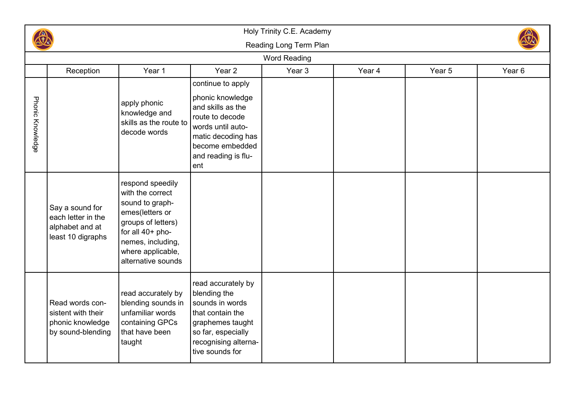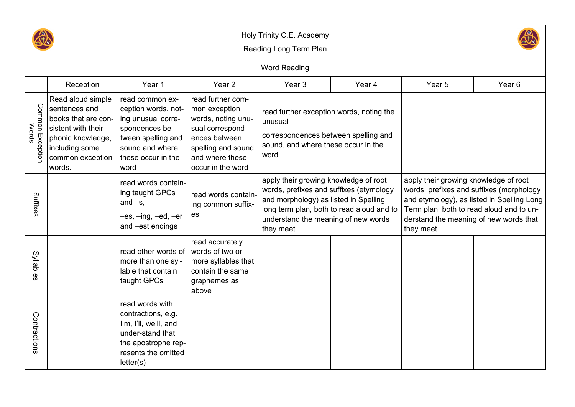

## Holy Trinity C.E. Academy



Reading Long Term Plan

|                              |                                                                                                                                                      |                                                                                                                                                       |                                                                                                                                                             | <b>Word Reading</b>                                                                                                                                                                                                        |        |                                                                                                                                                                                                                                     |        |
|------------------------------|------------------------------------------------------------------------------------------------------------------------------------------------------|-------------------------------------------------------------------------------------------------------------------------------------------------------|-------------------------------------------------------------------------------------------------------------------------------------------------------------|----------------------------------------------------------------------------------------------------------------------------------------------------------------------------------------------------------------------------|--------|-------------------------------------------------------------------------------------------------------------------------------------------------------------------------------------------------------------------------------------|--------|
|                              | Reception                                                                                                                                            | Year 1                                                                                                                                                | Year <sub>2</sub>                                                                                                                                           | Year <sub>3</sub>                                                                                                                                                                                                          | Year 4 | Year 5                                                                                                                                                                                                                              | Year 6 |
| Common<br>Words<br>Exceptior | Read aloud simple<br>sentences and<br>books that are con-<br>sistent with their<br>phonic knowledge,<br>including some<br>common exception<br>words. | read common ex-<br>ception words, not-<br>ing unusual corre-<br>spondences be-<br>tween spelling and<br>sound and where<br>these occur in the<br>word | read further com-<br>mon exception<br>words, noting unu-<br>sual correspond-<br>ences between<br>spelling and sound<br>and where these<br>occur in the word | read further exception words, noting the<br>unusual<br>correspondences between spelling and<br>sound, and where these occur in the<br>word.                                                                                |        |                                                                                                                                                                                                                                     |        |
| Suffixes                     |                                                                                                                                                      | read words contain-<br>ing taught GPCs<br>and $-s$ ,<br>–es, –ing, –ed, –er<br>and -est endings                                                       | read words contain-<br>ing common suffix-<br>es                                                                                                             | apply their growing knowledge of root<br>words, prefixes and suffixes (etymology<br>and morphology) as listed in Spelling<br>long term plan, both to read aloud and to<br>understand the meaning of new words<br>they meet |        | apply their growing knowledge of root<br>words, prefixes and suffixes (morphology<br>and etymology), as listed in Spelling Long<br>Term plan, both to read aloud and to un-<br>derstand the meaning of new words that<br>they meet. |        |
| Syllables                    |                                                                                                                                                      | read other words of<br>more than one syl-<br>lable that contain<br>taught GPCs                                                                        | read accurately<br>words of two or<br>more syllables that<br>contain the same<br>graphemes as<br>above                                                      |                                                                                                                                                                                                                            |        |                                                                                                                                                                                                                                     |        |
| Contractions                 |                                                                                                                                                      | read words with<br>contractions, e.g.<br>I'm, I'll, we'll, and<br>under-stand that<br>the apostrophe rep-<br>resents the omitted<br>letter(s)         |                                                                                                                                                             |                                                                                                                                                                                                                            |        |                                                                                                                                                                                                                                     |        |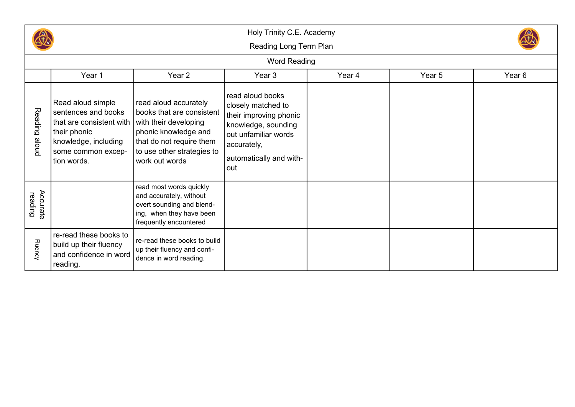

Holy Trinity C.E. Academy

Reading Long Term Plan



## Word Reading

|                     | Year 1                                                                                                                                            | Year 2                                                                                                                                                                          | Year 3                                                                                                                                                           | Year 4 | Year 5 | Year 6 |
|---------------------|---------------------------------------------------------------------------------------------------------------------------------------------------|---------------------------------------------------------------------------------------------------------------------------------------------------------------------------------|------------------------------------------------------------------------------------------------------------------------------------------------------------------|--------|--------|--------|
| Reading<br>proje    | Read aloud simple<br>sentences and books<br>that are consistent with<br>their phonic<br>knowledge, including<br>some common excep-<br>tion words. | read aloud accurately<br>books that are consistent<br>with their developing<br>phonic knowledge and<br>that do not require them<br>to use other strategies to<br>work out words | read aloud books<br>closely matched to<br>their improving phonic<br>knowledge, sounding<br>out unfamiliar words<br>accurately,<br>automatically and with-<br>out |        |        |        |
| Accurate<br>reading |                                                                                                                                                   | read most words quickly<br>and accurately, without<br>overt sounding and blend-<br>ing, when they have been<br>frequently encountered                                           |                                                                                                                                                                  |        |        |        |
| <b>Fluency</b>      | re-read these books to<br>build up their fluency<br>and confidence in word<br>reading.                                                            | re-read these books to build<br>up their fluency and confi-<br>dence in word reading.                                                                                           |                                                                                                                                                                  |        |        |        |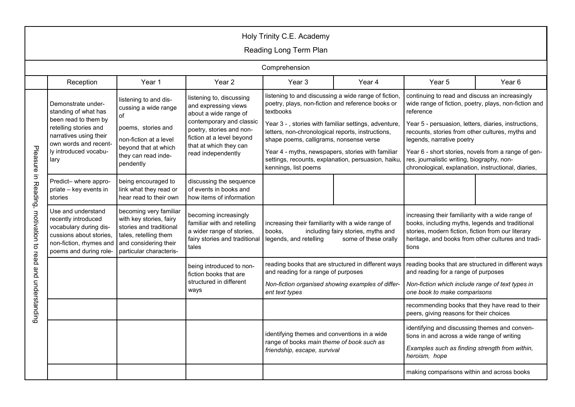| Holy Trinity C.E. Academy   |                                                                                                                                                     |                                                                                                                                                           |                                                                                                                                  |                                                                                                                                                      |                                                                                                                                                          |                                                                                                                                                                                                                           |                   |  |
|-----------------------------|-----------------------------------------------------------------------------------------------------------------------------------------------------|-----------------------------------------------------------------------------------------------------------------------------------------------------------|----------------------------------------------------------------------------------------------------------------------------------|------------------------------------------------------------------------------------------------------------------------------------------------------|----------------------------------------------------------------------------------------------------------------------------------------------------------|---------------------------------------------------------------------------------------------------------------------------------------------------------------------------------------------------------------------------|-------------------|--|
| Reading Long Term Plan      |                                                                                                                                                     |                                                                                                                                                           |                                                                                                                                  |                                                                                                                                                      |                                                                                                                                                          |                                                                                                                                                                                                                           |                   |  |
|                             | Comprehension                                                                                                                                       |                                                                                                                                                           |                                                                                                                                  |                                                                                                                                                      |                                                                                                                                                          |                                                                                                                                                                                                                           |                   |  |
|                             | Reception                                                                                                                                           | Year 1                                                                                                                                                    | Year 2                                                                                                                           | Year <sub>3</sub>                                                                                                                                    | Year 4                                                                                                                                                   | Year 5                                                                                                                                                                                                                    | Year <sub>6</sub> |  |
|                             | Demonstrate under-<br>standing of what has<br>of<br>been read to them by                                                                            | listening to and dis-<br>cussing a wide range                                                                                                             | listening to, discussing<br>and expressing views<br>about a wide range of                                                        | listening to and discussing a wide range of fiction,<br>poetry, plays, non-fiction and reference books or<br>textbooks                               |                                                                                                                                                          | continuing to read and discuss an increasingly<br>wide range of fiction, poetry, plays, non-fiction and<br>reference                                                                                                      |                   |  |
|                             | retelling stories and<br>narratives using their<br>own words and recent-                                                                            | poems, stories and<br>non-fiction at a level                                                                                                              | contemporary and classic<br>poetry, stories and non-<br>fiction at a level beyond                                                | Year 3 -, stories with familiar settings, adventure,<br>letters, non-chronological reports, instructions,<br>shape poems, calligrams, nonsense verse |                                                                                                                                                          | Year 5 - persuasion, letters, diaries, instructions,<br>recounts, stories from other cultures, myths and<br>legends, narrative poetry                                                                                     |                   |  |
| Pleasure                    | beyond that at which<br>ly introduced vocabu-<br>they can read inde-<br>lary<br>pendently                                                           | that at which they can<br>read independently                                                                                                              | Year 4 - myths, newspapers, stories with familiar<br>settings, recounts, explanation, persuasion, haiku,<br>kennings, list poems |                                                                                                                                                      | Year 6 - short stories, novels from a range of gen-<br>res, journalistic writing, biography, non-<br>chronological, explanation, instructional, diaries, |                                                                                                                                                                                                                           |                   |  |
| $\equiv$<br><b>Reading,</b> | Predict- where appro-<br>priate - key events in<br>stories                                                                                          | being encouraged to<br>link what they read or<br>hear read to their own                                                                                   | discussing the sequence<br>of events in books and<br>how items of information                                                    |                                                                                                                                                      |                                                                                                                                                          |                                                                                                                                                                                                                           |                   |  |
| motivation to               | Use and understand<br>recently introduced<br>vocabulary during dis-<br>cussions about stories,<br>non-fiction, rhymes and<br>poems and during role- | becoming very familiar<br>with key stories, fairy<br>stories and traditional<br>tales, retelling them<br>and considering their<br>particular characteris- | becoming increasingly<br>familiar with and retelling<br>a wider range of stories,<br>fairy stories and traditional<br>tales      | increasing their familiarity with a wide range of<br>books,<br>including fairy stories, myths and<br>legends, and retelling<br>some of these orally  |                                                                                                                                                          | increasing their familiarity with a wide range of<br>books, including myths, legends and traditional<br>stories, modern fiction, fiction from our literary<br>heritage, and books from other cultures and tradi-<br>tions |                   |  |
| read                        |                                                                                                                                                     |                                                                                                                                                           | being introduced to non-<br>fiction books that are                                                                               | and reading for a range of purposes                                                                                                                  | reading books that are structured in different ways                                                                                                      | reading books that are structured in different ways<br>and reading for a range of purposes                                                                                                                                |                   |  |
| and understanding           |                                                                                                                                                     |                                                                                                                                                           | structured in different<br>ways                                                                                                  | Non-fiction organised showing examples of differ-<br>ent text types                                                                                  |                                                                                                                                                          | Non-fiction which include range of text types in<br>one book to make comparisons                                                                                                                                          |                   |  |
|                             |                                                                                                                                                     |                                                                                                                                                           |                                                                                                                                  |                                                                                                                                                      |                                                                                                                                                          | recommending books that they have read to their<br>peers, giving reasons for their choices                                                                                                                                |                   |  |
|                             |                                                                                                                                                     |                                                                                                                                                           |                                                                                                                                  | identifying themes and conventions in a wide                                                                                                         |                                                                                                                                                          | identifying and discussing themes and conven-<br>tions in and across a wide range of writing                                                                                                                              |                   |  |
|                             |                                                                                                                                                     |                                                                                                                                                           |                                                                                                                                  | range of books main theme of book such as<br>friendship, escape, survival                                                                            |                                                                                                                                                          | Examples such as finding strength from within,<br>heroism, hope                                                                                                                                                           |                   |  |
|                             |                                                                                                                                                     |                                                                                                                                                           |                                                                                                                                  |                                                                                                                                                      |                                                                                                                                                          | making comparisons within and across books                                                                                                                                                                                |                   |  |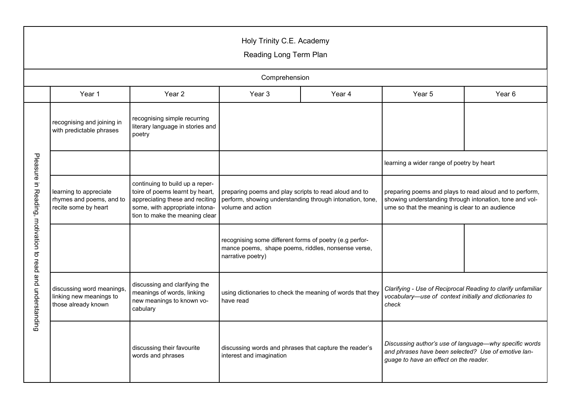| Holy Trinity C.E. Academy<br>Reading Long Term Plan       |                                                                             |                                                                                                                                                                           |                                                                                                                                        |  |                                                                                                                                                                       |                   |  |  |  |
|-----------------------------------------------------------|-----------------------------------------------------------------------------|---------------------------------------------------------------------------------------------------------------------------------------------------------------------------|----------------------------------------------------------------------------------------------------------------------------------------|--|-----------------------------------------------------------------------------------------------------------------------------------------------------------------------|-------------------|--|--|--|
|                                                           | Comprehension                                                               |                                                                                                                                                                           |                                                                                                                                        |  |                                                                                                                                                                       |                   |  |  |  |
|                                                           | Year 3<br>Year 1<br>Year 2<br>Year 4                                        |                                                                                                                                                                           |                                                                                                                                        |  | Year 5                                                                                                                                                                | Year <sub>6</sub> |  |  |  |
|                                                           | recognising and joining in<br>with predictable phrases                      | recognising simple recurring<br>literary language in stories and<br>poetry                                                                                                |                                                                                                                                        |  |                                                                                                                                                                       |                   |  |  |  |
|                                                           |                                                                             |                                                                                                                                                                           |                                                                                                                                        |  | learning a wider range of poetry by heart                                                                                                                             |                   |  |  |  |
| Pleasure in Reading, motivation to read and understanding | learning to appreciate<br>rhymes and poems, and to<br>recite some by heart  | continuing to build up a reper-<br>toire of poems learnt by heart,<br>appreciating these and reciting<br>some, with appropriate intona-<br>tion to make the meaning clear | preparing poems and play scripts to read aloud and to<br>perform, showing understanding through intonation, tone,<br>volume and action |  | preparing poems and plays to read aloud and to perform,<br>showing understanding through intonation, tone and vol-<br>ume so that the meaning is clear to an audience |                   |  |  |  |
|                                                           |                                                                             |                                                                                                                                                                           | recognising some different forms of poetry (e.g perfor-<br>mance poems, shape poems, riddles, nonsense verse,<br>narrative poetry)     |  |                                                                                                                                                                       |                   |  |  |  |
|                                                           | discussing word meanings,<br>linking new meanings to<br>those already known | discussing and clarifying the<br>meanings of words, linking<br>new meanings to known vo-<br>cabulary                                                                      | using dictionaries to check the meaning of words that they<br>have read                                                                |  | Clarifying - Use of Reciprocal Reading to clarify unfamiliar<br>vocabulary-use of context initially and dictionaries to<br>check                                      |                   |  |  |  |
|                                                           |                                                                             | discussing their favourite<br>words and phrases                                                                                                                           | discussing words and phrases that capture the reader's<br>interest and imagination                                                     |  | Discussing author's use of language-why specific words<br>and phrases have been selected? Use of emotive lan-<br>guage to have an effect on the reader.               |                   |  |  |  |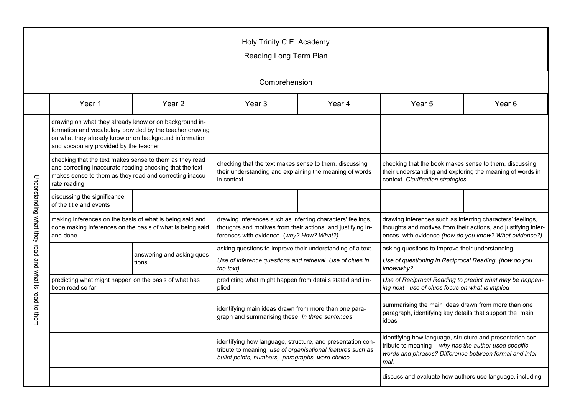## Holy Trinity C.E. Academy

Reading Long Term Plan

|                                                       | Comprehension                                                                                                                                                                                                          |                                     |                                                                                                                                                                            |                   |                                                                                                                                                                                       |                   |  |  |
|-------------------------------------------------------|------------------------------------------------------------------------------------------------------------------------------------------------------------------------------------------------------------------------|-------------------------------------|----------------------------------------------------------------------------------------------------------------------------------------------------------------------------|-------------------|---------------------------------------------------------------------------------------------------------------------------------------------------------------------------------------|-------------------|--|--|
|                                                       | Year 1                                                                                                                                                                                                                 | Year <sub>2</sub>                   | Year <sub>3</sub>                                                                                                                                                          | Year <sub>4</sub> | Year <sub>5</sub>                                                                                                                                                                     | Year <sub>6</sub> |  |  |
| Understanding what they read and what is read to them | drawing on what they already know or on background in-<br>formation and vocabulary provided by the teacher drawing<br>on what they already know or on background information<br>and vocabulary provided by the teacher |                                     |                                                                                                                                                                            |                   |                                                                                                                                                                                       |                   |  |  |
|                                                       | checking that the text makes sense to them as they read<br>and correcting inaccurate reading checking that the text<br>makes sense to them as they read and correcting inaccu-<br>rate reading                         |                                     | checking that the text makes sense to them, discussing<br>their understanding and explaining the meaning of words<br>in context                                            |                   | checking that the book makes sense to them, discussing<br>their understanding and exploring the meaning of words in<br>context Clarification strategies                               |                   |  |  |
|                                                       | discussing the significance<br>of the title and events                                                                                                                                                                 |                                     |                                                                                                                                                                            |                   |                                                                                                                                                                                       |                   |  |  |
|                                                       | making inferences on the basis of what is being said and<br>done making inferences on the basis of what is being said<br>and done                                                                                      |                                     | drawing inferences such as inferring characters' feelings,<br>thoughts and motives from their actions, and justifying in-<br>ferences with evidence (why? How? What?)      |                   | drawing inferences such as inferring characters' feelings,<br>thoughts and motives from their actions, and justifying infer-<br>ences with evidence (how do you know? What evidence?) |                   |  |  |
|                                                       |                                                                                                                                                                                                                        | answering and asking ques-<br>tions | asking questions to improve their understanding of a text<br>Use of inference questions and retrieval. Use of clues in<br>the text)                                        |                   | asking questions to improve their understanding<br>Use of questioning in Reciprocal Reading (how do you<br>know/why?                                                                  |                   |  |  |
|                                                       | predicting what might happen on the basis of what has<br>been read so far                                                                                                                                              |                                     | predicting what might happen from details stated and im-<br>plied                                                                                                          |                   | Use of Reciprocal Reading to predict what may be happen-<br>ing next - use of clues focus on what is implied                                                                          |                   |  |  |
|                                                       |                                                                                                                                                                                                                        |                                     | identifying main ideas drawn from more than one para-<br>graph and summarising these In three sentences                                                                    |                   | summarising the main ideas drawn from more than one<br>paragraph, identifying key details that support the main<br>ideas                                                              |                   |  |  |
|                                                       |                                                                                                                                                                                                                        |                                     | identifying how language, structure, and presentation con-<br>tribute to meaning use of organisational features such as<br>bullet points, numbers, paragraphs, word choice |                   | identifying how language, structure and presentation con-<br>tribute to meaning - why has the author used specific<br>words and phrases? Difference between formal and infor-<br>mal. |                   |  |  |
|                                                       |                                                                                                                                                                                                                        |                                     |                                                                                                                                                                            |                   | discuss and evaluate how authors use language, including                                                                                                                              |                   |  |  |